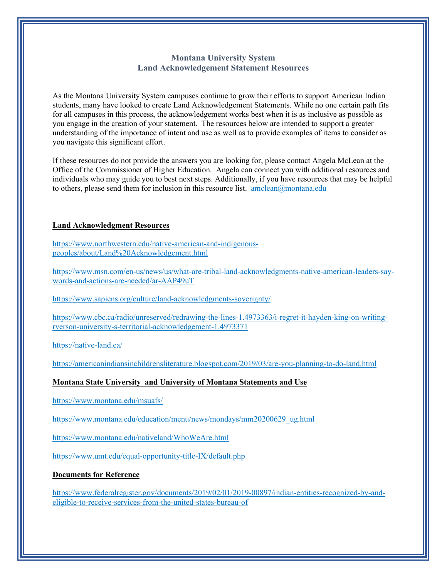## **Montana University System Land Acknowledgement Statement Resources**

As the Montana University System campuses continue to grow their efforts to support American Indian students, many have looked to create Land Acknowledgement Statements. While no one certain path fits for all campuses in this process, the acknowledgement works best when it is as inclusive as possible as you engage in the creation of your statement. The resources below are intended to support a greater understanding of the importance of intent and use as well as to provide examples of items to consider as you navigate this significant effort.

If these resources do not provide the answers you are looking for, please contact Angela McLean at the Office of the Commissioner of Higher Education. Angela can connect you with additional resources and individuals who may guide you to best next steps. Additionally, if you have resources that may be helpful to others, please send them for inclusion in this resource list. amclean $@$ montana.edu

## **Land Acknowledgment Resources**

[https://www.northwestern.edu/native-american-and-indigenous](https://www.northwestern.edu/native-american-and-indigenous-peoples/about/Land%20Acknowledgement.html)[peoples/about/Land%20Acknowledgement.html](https://www.northwestern.edu/native-american-and-indigenous-peoples/about/Land%20Acknowledgement.html)

[https://www.msn.com/en-us/news/us/what-are-tribal-land-acknowledgments-native-american-leaders-say](https://www.msn.com/en-us/news/us/what-are-tribal-land-acknowledgments-native-american-leaders-say-words-and-actions-are-needed/ar-AAP49uT)[words-and-actions-are-needed/ar-AAP49uT](https://www.msn.com/en-us/news/us/what-are-tribal-land-acknowledgments-native-american-leaders-say-words-and-actions-are-needed/ar-AAP49uT)

<https://www.sapiens.org/culture/land-acknowledgments-soverignty/>

[https://www.cbc.ca/radio/unreserved/redrawing-the-lines-1.4973363/i-regret-it-hayden-king-on-writing](https://www.cbc.ca/radio/unreserved/redrawing-the-lines-1.4973363/i-regret-it-hayden-king-on-writing-ryerson-university-s-territorial-acknowledgement-1.4973371)[ryerson-university-s-territorial-acknowledgement-1.4973371](https://www.cbc.ca/radio/unreserved/redrawing-the-lines-1.4973363/i-regret-it-hayden-king-on-writing-ryerson-university-s-territorial-acknowledgement-1.4973371)

<https://native-land.ca/>

<https://americanindiansinchildrensliterature.blogspot.com/2019/03/are-you-planning-to-do-land.html>

## **Montana State University and University of Montana Statements and Use**

<https://www.montana.edu/msuafs/>

[https://www.montana.edu/education/menu/news/mondays/mm20200629\\_ug.html](https://www.montana.edu/education/menu/news/mondays/mm20200629_ug.html)

<https://www.montana.edu/nativeland/WhoWeAre.html>

<https://www.umt.edu/equal-opportunity-title-IX/default.php>

**Documents for Reference** 

[https://www.federalregister.gov/documents/2019/02/01/2019-00897/indian-entities-recognized-by-and](https://www.federalregister.gov/documents/2019/02/01/2019-00897/indian-entities-recognized-by-and-eligible-to-receive-services-from-the-united-states-bureau-of)[eligible-to-receive-services-from-the-united-states-bureau-of](https://www.federalregister.gov/documents/2019/02/01/2019-00897/indian-entities-recognized-by-and-eligible-to-receive-services-from-the-united-states-bureau-of)